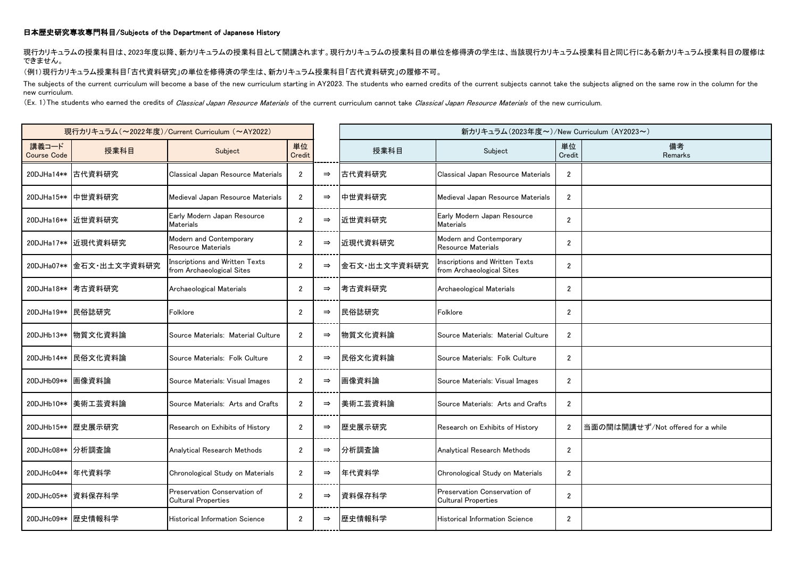## 日本歴史研究専攻専門科目/Subjects of the Department of Japanese History

現行カリキュラムの授業科目は、2023年度以降、新カリキュラムの授業科目として開講されます。現行カリキュラムの授業科目の単位を修得済の学生は、当該現行カリキュラム授業科目と同じ行にある新カリキュラム授業科目の履修は できません。

## (例1)現行カリキュラム授業科目「古代資料研究」の単位を修得済の学生は、新カリキュラム授業科目「古代資料研究」の履修不可。

The subjects of the current curriculum will become a base of the new curriculum starting in AY2023. The students who earned credits of the current subjects cannot take the subjects aligned on the same row in the column for new curriculum.

(Ex. 1) The students who earned the credits of Classical Japan Resource Materials of the current curriculum cannot take Classical Japan Resource Materials of the new curriculum.

| 現行カリキュラム (~2022年度)/Current Curriculum (~AY2022) |                    |                                                                    |                      |               | 新カリキュラム(2023年度~)/New Curriculum (AY2023~) |                                                                    |                  |                                   |
|-------------------------------------------------|--------------------|--------------------------------------------------------------------|----------------------|---------------|-------------------------------------------|--------------------------------------------------------------------|------------------|-----------------------------------|
| 講義コード<br><b>Course Code</b>                     | 授業科目               | Subject                                                            | 単位<br>Credit         |               | 授業科目                                      | Subject                                                            | 単位<br>Credit     | 備考<br>Remarks                     |
| 20DJHa14**                                      | 古代資料研究             | Classical Japan Resource Materials                                 | $\overline{2}$       | $\Rightarrow$ | 古代資料研究                                    | Classical Japan Resource Materials                                 | $\overline{2}$   |                                   |
| 20DJHa15**                                      | 中世資料研究             | Medieval Japan Resource Materials                                  | $\overline{2}$       | $\Rightarrow$ | 中世資料研究                                    | Medieval Japan Resource Materials                                  | $\overline{2}$   |                                   |
|                                                 | 20DJHa16** 近世資料研究  | Early Modern Japan Resource<br>Materials                           | $\overline{2}$       | $\Rightarrow$ | 近世資料研究                                    | Early Modern Japan Resource<br><b>Materials</b>                    | $\overline{2}$   |                                   |
| 20DJHa17**                                      | 近現代資料研究            | Modern and Contemporary<br>Resource Materials                      | $\overline{2}$       | $\Rightarrow$ | 近現代資料研究                                   | Modern and Contemporary<br><b>Resource Materials</b>               | $\overline{2}$   |                                   |
| 20DJHa07**                                      | 全石文·出土文字資料研究       | <b>Inscriptions and Written Texts</b><br>from Archaeological Sites | $\overline{2}$       | $\Rightarrow$ | 金石文·出土文字資料研究                              | <b>Inscriptions and Written Texts</b><br>from Archaeological Sites | $\boldsymbol{2}$ |                                   |
| 20DJHa18**                                      | 考古資料研究             | Archaeological Materials                                           | $\mathbf{2}$         | $\Rightarrow$ | 考古資料研究                                    | Archaeological Materials                                           | $\boldsymbol{2}$ |                                   |
| 20DJHa19** 民俗誌研究                                |                    | Folklore                                                           | $\overline{2}$       | $\Rightarrow$ | 民俗誌研究                                     | Folklore                                                           | $\overline{2}$   |                                   |
|                                                 | 20DJHb13** 物質文化資料論 | Source Materials: Material Culture                                 | $\overline{2}$       | $\Rightarrow$ | 物質文化資料論                                   | Source Materials: Material Culture                                 | $\overline{2}$   |                                   |
| 20DJHb14**                                      | 民俗文化資料論            | Source Materials: Folk Culture                                     | $\overline{2}$       | $\Rightarrow$ | 民俗文化資料論                                   | Source Materials: Folk Culture                                     | $\mathbf{2}$     |                                   |
| 20DJHb09**                                      | 画像資料論              | Source Materials: Visual Images                                    | $\overline{2}$       | $\Rightarrow$ | 画像資料論                                     | Source Materials: Visual Images                                    | $\overline{2}$   |                                   |
| 20DJHb10**                                      | 美術工芸資料論            | Source Materials: Arts and Crafts                                  | $\overline{2}$       | $\Rightarrow$ | 美術工芸資料論                                   | Source Materials: Arts and Crafts                                  | $\overline{2}$   |                                   |
| 20DJHb15**                                      | 歴史展示研究             | Research on Exhibits of History                                    | $\overline{2}$       | $\Rightarrow$ | 歴史展示研究                                    | Research on Exhibits of History                                    | $\overline{2}$   | 当面の間は開講せず/Not offered for a while |
| 20DJHc08**                                      | 分析調査論              | Analytical Research Methods                                        | $\mathbf{2}$         | $\Rightarrow$ | 分析調査論                                     | Analytical Research Methods                                        | $\overline{2}$   |                                   |
| 20DJHc04**                                      | 年代資料学              | Chronological Study on Materials                                   | $\overline{2}$       | $\Rightarrow$ | 年代資料学                                     | Chronological Study on Materials                                   | $\overline{2}$   |                                   |
|                                                 | 20DJHc05** 資料保存科学  | Preservation Conservation of<br><b>Cultural Properties</b>         | $\overline{2}$       | $\Rightarrow$ | 資料保存科学                                    | Preservation Conservation of<br><b>Cultural Properties</b>         | $\overline{2}$   |                                   |
|                                                 | 20DJHc09** 歴史情報科学  | Historical Information Science                                     | $\mathbf{2}^{\circ}$ | $\Rightarrow$ | 歴史情報科学                                    | <b>Historical Information Science</b>                              | $\overline{2}$   |                                   |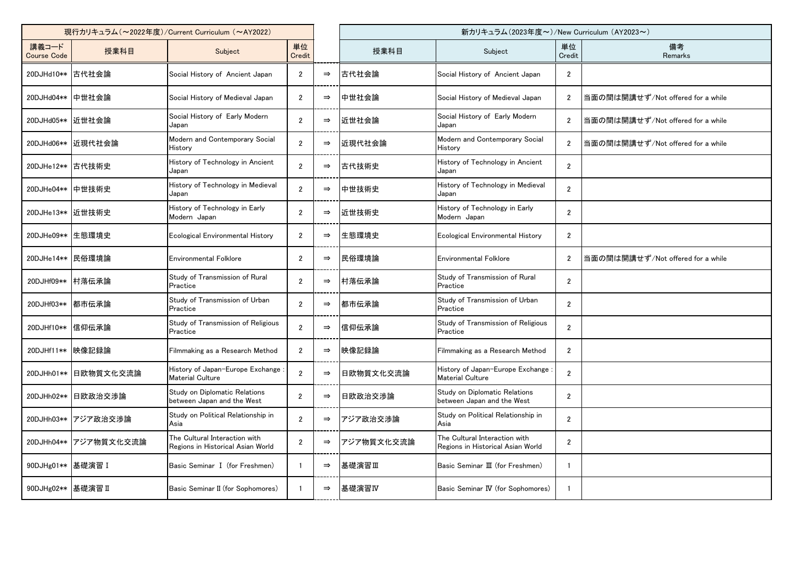| 現行カリキュラム (~2022年度) / Current Curriculum (~AY2022) |                       |                                                                    |                |               | 新カリキュラム (2023年度~)/New Curriculum (AY2023~) |                                                                    |                |                                   |
|---------------------------------------------------|-----------------------|--------------------------------------------------------------------|----------------|---------------|--------------------------------------------|--------------------------------------------------------------------|----------------|-----------------------------------|
| 講義コード<br><b>Course Code</b>                       | 授業科目                  | Subject                                                            | 単位<br>Credit   |               | 授業科目                                       | Subject                                                            | 単位<br>Credit   | 備考<br>Remarks                     |
| 20DJHd10** 古代社会論                                  |                       | Social History of Ancient Japan                                    | $\overline{2}$ | $\Rightarrow$ | 古代社会論                                      | Social History of Ancient Japan                                    | $\mathbf{2}$   |                                   |
| 20DJHd04** 中世社会論                                  |                       | Social History of Medieval Japan                                   | $\overline{2}$ | $\Rightarrow$ | 中世社会論                                      | Social History of Medieval Japan                                   | $\overline{2}$ | 当面の間は開講せず/Not offered for a while |
| 20DJHd05** 近世社会論                                  |                       | Social History of Early Modern<br>Japan                            | $\overline{2}$ | $\Rightarrow$ | 近世社会論                                      | Social History of Early Modern<br>Japan                            | $\overline{2}$ | 当面の間は開講せず/Not offered for a while |
|                                                   | 20DJHd06** 近現代社会論     | Modern and Contemporary Social<br>History                          | $\overline{2}$ | $\Rightarrow$ | 近現代社会論                                     | Modern and Contemporary Social<br>History                          | $\overline{2}$ | 当面の間は開講せず/Not offered for a while |
| 20DJHe12** 古代技術史                                  |                       | History of Technology in Ancient<br>Japan                          | $\overline{2}$ | $\Rightarrow$ | 古代技術史                                      | History of Technology in Ancient<br>Japan                          | $\overline{2}$ |                                   |
| 20DJHe04** 中世技術史                                  |                       | History of Technology in Medieval<br>Japan                         | $\overline{2}$ | $\Rightarrow$ | 中世技術史                                      | History of Technology in Medieval<br>Japan                         | $\overline{2}$ |                                   |
| 20DJHe13** 近世技術史                                  |                       | History of Technology in Early<br>Modern Japan                     | $\overline{2}$ | $\Rightarrow$ | 近世技術史                                      | History of Technology in Early<br>Modern Japan                     | $\overline{2}$ |                                   |
| 20DJHe09** 生態環境史                                  |                       | Ecological Environmental History                                   | $\overline{2}$ | $\Rightarrow$ | 生態環境史                                      | Ecological Environmental History                                   | $\mathbf{2}$   |                                   |
| 20DJHe14**   民俗環境論                                |                       | <b>Environmental Folklore</b>                                      | $\overline{2}$ | $\Rightarrow$ | 民俗環境論                                      | <b>Environmental Folklore</b>                                      | $\overline{2}$ | 当面の間は開講せず/Not offered for a while |
| 20DJHf09**                                        | 村落伝承論                 | Study of Transmission of Rural<br>Practice                         | $\overline{2}$ | $\Rightarrow$ | 村落伝承論                                      | Study of Transmission of Rural<br>Practice                         | $\overline{2}$ |                                   |
| 20DJHf03** 都市伝承論                                  |                       | Study of Transmission of Urban<br>Practice                         | $\overline{2}$ | $\Rightarrow$ | 都市伝承論                                      | Study of Transmission of Urban<br>Practice                         | $\overline{2}$ |                                   |
| 20DJHf10** 信仰伝承論                                  |                       | Study of Transmission of Religious<br>Practice                     | $\overline{2}$ | $\Rightarrow$ | 信仰伝承論                                      | Study of Transmission of Religious<br>Practice                     | $\overline{2}$ |                                   |
| 20DJHf11**  映像記録論                                 |                       | Filmmaking as a Research Method                                    | $\overline{2}$ | $\Rightarrow$ | 映像記録論                                      | Filmmaking as a Research Method                                    | $\overline{2}$ |                                   |
|                                                   | 20DJHh01** 日欧物質文化交流論  | History of Japan-Europe Exchange<br><b>Material Culture</b>        | $\overline{2}$ | $\Rightarrow$ | 日欧物質文化交流論                                  | History of Japan-Europe Exchange<br><b>Material Culture</b>        | $\overline{2}$ |                                   |
|                                                   | 20DJHh02** 日欧政治交渉論    | Study on Diplomatic Relations<br>between Japan and the West        | $\overline{2}$ | $\Rightarrow$ | 日欧政治交渉論                                    | Study on Diplomatic Relations<br>between Japan and the West        | $\overline{2}$ |                                   |
|                                                   | 20DJHh03** アジア政治交渉論   | Study on Political Relationship in<br>Asia                         | $\overline{2}$ | $\Rightarrow$ | アジア政治交渉論                                   | Study on Political Relationship in<br>Asia                         | $\overline{2}$ |                                   |
|                                                   | 20DJHh04** アジア物質文化交流論 | The Cultural Interaction with<br>Regions in Historical Asian World | $\overline{2}$ | $\Rightarrow$ | アジア物質文化交流論                                 | The Cultural Interaction with<br>Regions in Historical Asian World | $\overline{2}$ |                                   |
| 90DJHg01** 基礎演習 I                                 |                       | Basic Seminar I (for Freshmen)                                     |                | $\Rightarrow$ | 基礎演習Ⅲ                                      | Basic Seminar III (for Freshmen)                                   |                |                                   |
| 90DJHg02** 基礎演習 II                                |                       | Basic Seminar II (for Sophomores)                                  |                | $\Rightarrow$ | 基礎演習IV                                     | Basic Seminar IV (for Sophomores)                                  |                |                                   |